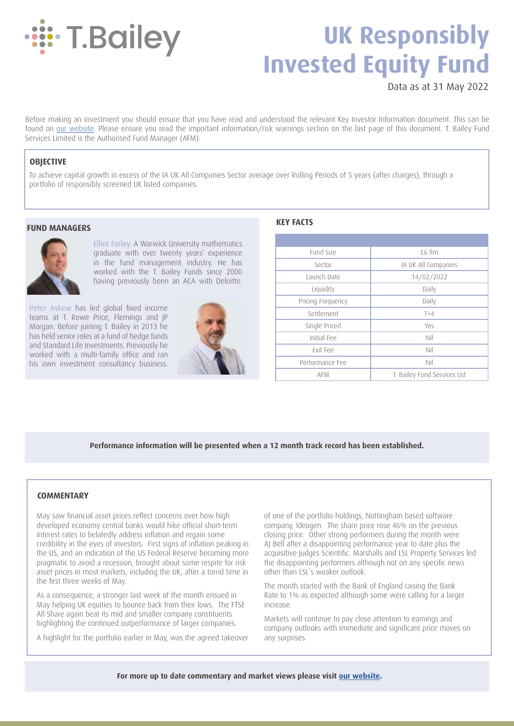

# **UK Responsibly Invested Equity Fund**

Data as at 31 May 2022

Before making an investment you should ensure that you have read and understood the relevant Key Investor Information document. This can be found on [our website.](https://tbaileyam.co.uk/documentation/) Please ensure you read the important information/risk warnings section on the last page of this document. T. Bailey Fund Services Limited is the Authorised Fund Manager (AFM).

## **OBJECTIVE**

To achieve capital growth in excess of the IA UK All Companies Sector average over Rolling Periods of 5 years (after charges), through a portfolio of responsibly screened UK listed companies.

#### **FUND MANAGERS**



Elliot Farley. A Warwick University mathematics graduate with over twenty years' experience in the fund management industry. He has worked with the T. Bailey Funds since 2000 having previously been an ACA with Deloitte.

Peter Askew has led global fixed income teams at T. Rowe Price, Flemings and JP Morgan. Before joining T. Bailey in 2013 he has held senior roles at a fund of hedge funds and Standard Life Investments. Previously he worked with a multi-family office and ran his own investment consultancy business.



## **KEY FACTS**

| Fund Size         | £6.9m                       |  |  |  |  |
|-------------------|-----------------------------|--|--|--|--|
| Sector            | IA UK All Companies         |  |  |  |  |
| Launch Date       | 14/02/2022                  |  |  |  |  |
| Liquidity         | Daily                       |  |  |  |  |
| Pricing Frequency | Daily                       |  |  |  |  |
| Settlement        | $T+4$                       |  |  |  |  |
| Single Priced     | Yes                         |  |  |  |  |
| Initial Fee       | Nil                         |  |  |  |  |
| Exit Fee          | Nil                         |  |  |  |  |
| Performance Fee   | Nil                         |  |  |  |  |
| <b>AFM</b>        | T. Bailey Fund Services Ltd |  |  |  |  |

**Performance information will be presented when a 12 month track record has been established.**

#### **COMMENTARY**

May saw financial asset prices reflect concerns over how high developed economy central banks would hike official short-term interest rates to belatedly address inflation and regain some credibility in the eyes of investors. First signs of inflation peaking in the US, and an indication of the US Federal Reserve becoming more pragmatic to avoid a recession, brought about some respite for risk asset prices in most markets, including the UK, after a torrid time in the first three weeks of May.

As a consequence, a stronger last week of the month ensued in May helping UK equities to bounce back from their lows. The FTSE All Share again beat its mid and smaller company constituents highlighting the continued outperformance of larger companies.

A highlight for the portfolio earlier in May, was the agreed takeover

of one of the portfolio holdings, Nottingham based software company, Ideagen. The share price rose 46% on the previous closing price. Other strong performers during the month were AJ Bell after a disappointing performance year to date plus the acquisitive Judges Scientific. Marshalls and LSL Property Services led the disappointing performers although not on any specific news other than LSL's weaker outlook.

The month started with the Bank of England raising the Bank Rate to 1% as expected although some were calling for a larger increase.

Markets will continue to pay close attention to earnings and company outlooks with immediate and significant price moves on any surprises.

**For more up to date commentary and market views please visit [our website](https://tbaileyam.co.uk/blog/).**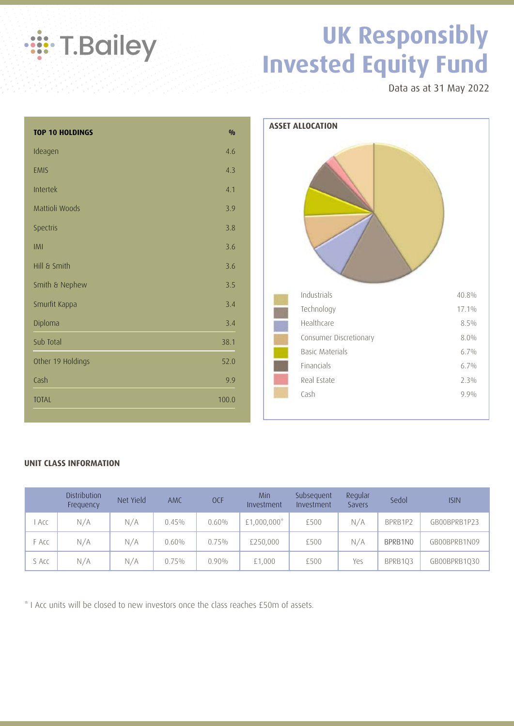

## **UK Responsibly Invested Equity Fund**

Data as at 31 May 2022

| <b>TOP 10 HOLDINGS</b> | $\frac{0}{0}$ |
|------------------------|---------------|
| Ideagen                | 4.6           |
| <b>EMIS</b>            | 4.3           |
| Intertek               | 4.1           |
| Mattioli Woods         | 3.9           |
| Spectris               | 3.8           |
| IMI                    | 3.6           |
| Hill & Smith           | 3.6           |
| Smith & Nephew         | 3.5           |
| Smurfit Kappa          | 3.4           |
| Diploma                | 3.4           |
| Sub Total              | 38.1          |
| Other 19 Holdings      | 52.0          |
| Cash                   | 9.9           |
| <b>TOTAL</b>           | 100.0         |



### **UNIT CLASS INFORMATION**

|       | Distribution<br>Frequency | Net Yield | <b>AMC</b> | <b>OCF</b> | Min<br>Investment | Subsequent<br>Investment | Regular<br>Savers | Sedol   | <b>ISIN</b>  |
|-------|---------------------------|-----------|------------|------------|-------------------|--------------------------|-------------------|---------|--------------|
| . Acc | N/A                       | N/A       | 0.45%      | 0.60%      | $£1,000,000*$     | £500                     | N/A               | BPRB1P2 | GB00BPRB1P23 |
| F Acc | N/A                       | N/A       | 0.60%      | 0.75%      | £250,000          | £500                     | N/A               | BPRB1N0 | GB00BPRB1N09 |
| S Acc | N/A                       | N/A       | 0.75%      | $0.90\%$   | £1,000            | £500                     | Yes               | BPRB103 | GB00BPRB1Q30 |

\* I Acc units will be closed to new investors once the class reaches £50m of assets.